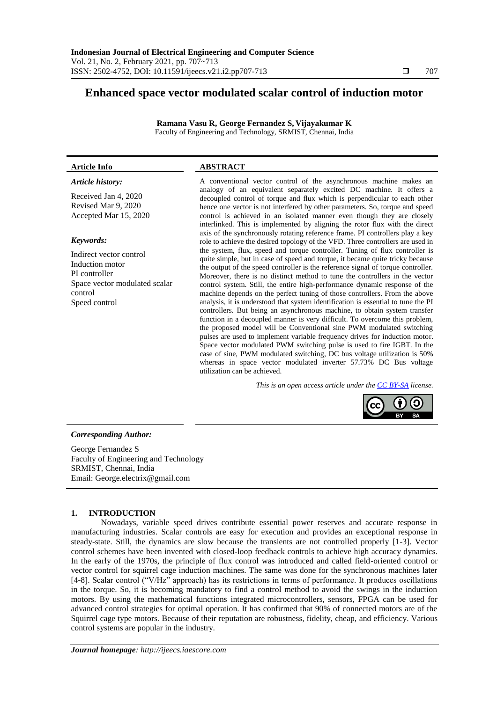# **Enhanced space vector modulated scalar control of induction motor**

**Ramana Vasu R, George Fernandez S, Vijayakumar K** Faculty of Engineering and Technology, SRMIST, Chennai, India

# **Article Info ABSTRACT**

#### *Article history:*

Received Jan 4, 2020 Revised Mar 9, 2020 Accepted Mar 15, 2020

#### *Keywords:*

Indirect vector control Induction motor PI controller Space vector modulated scalar control Speed control

A conventional vector control of the asynchronous machine makes an analogy of an equivalent separately excited DC machine. It offers a decoupled control of torque and flux which is perpendicular to each other hence one vector is not interfered by other parameters. So, torque and speed control is achieved in an isolated manner even though they are closely interlinked. This is implemented by aligning the rotor flux with the direct axis of the synchronously rotating reference frame. PI controllers play a key role to achieve the desired topology of the VFD. Three controllers are used in the system, flux, speed and torque controller. Tuning of flux controller is quite simple, but in case of speed and torque, it became quite tricky because the output of the speed controller is the reference signal of torque controller. Moreover, there is no distinct method to tune the controllers in the vector control system. Still, the entire high-performance dynamic response of the machine depends on the perfect tuning of those controllers. From the above analysis, it is understood that system identification is essential to tune the PI controllers. But being an asynchronous machine, to obtain system transfer function in a decoupled manner is very difficult. To overcome this problem, the proposed model will be Conventional sine PWM modulated switching pulses are used to implement variable frequency drives for induction motor. Space vector modulated PWM switching pulse is used to fire IGBT. In the case of sine, PWM modulated switching, DC bus voltage utilization is 50% whereas in space vector modulated inverter 57.73% DC Bus voltage utilization can be achieved.

*This is an open access article under the [CC BY-SA](https://creativecommons.org/licenses/by-sa/4.0/) license.*



# *Corresponding Author:*

George Fernandez S Faculty of Engineering and Technology SRMIST, Chennai, India Email: George.electrix@gmail.com

## **1. INTRODUCTION**

Nowadays, variable speed drives contribute essential power reserves and accurate response in manufacturing industries. Scalar controls are easy for execution and provides an exceptional response in steady-state. Still, the dynamics are slow because the transients are not controlled properly [1-3]. Vector control schemes have been invented with closed-loop feedback controls to achieve high accuracy dynamics. In the early of the 1970s, the principle of flux control was introduced and called field-oriented control or vector control for squirrel cage induction machines. The same was done for the synchronous machines later [4-8]. Scalar control ("V/Hz" approach) has its restrictions in terms of performance. It produces oscillations in the torque. So, it is becoming mandatory to find a control method to avoid the swings in the induction motors. By using the mathematical functions integrated microcontrollers, sensors, FPGA can be used for advanced control strategies for optimal operation. It has confirmed that 90% of connected motors are of the Squirrel cage type motors. Because of their reputation are robustness, fidelity, cheap, and efficiency. Various control systems are popular in the industry.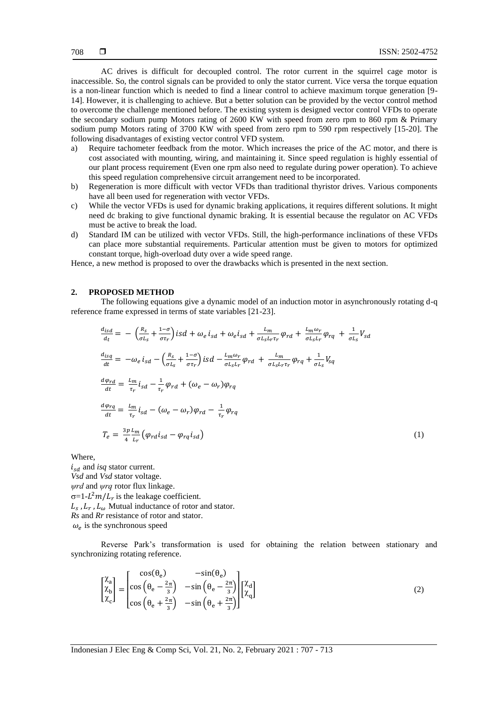AC drives is difficult for decoupled control. The rotor current in the squirrel cage motor is inaccessible. So, the control signals can be provided to only the stator current. Vice versa the torque equation is a non-linear function which is needed to find a linear control to achieve maximum torque generation [9- 14]. However, it is challenging to achieve. But a better solution can be provided by the vector control method to overcome the challenge mentioned before. The existing system is designed vector control VFDs to operate the secondary sodium pump Motors rating of 2600 KW with speed from zero rpm to 860 rpm & Primary sodium pump Motors rating of 3700 KW with speed from zero rpm to 590 rpm respectively [15-20]. The following disadvantages of existing vector control VFD system.

- a) Require tachometer feedback from the motor. Which increases the price of the AC motor, and there is cost associated with mounting, wiring, and maintaining it. Since speed regulation is highly essential of our plant process requirement (Even one rpm also need to regulate during power operation). To achieve this speed regulation comprehensive circuit arrangement need to be incorporated.
- b) Regeneration is more difficult with vector VFDs than traditional thyristor drives. Various components have all been used for regeneration with vector VFDs.
- c) While the vector VFDs is used for dynamic braking applications, it requires different solutions. It might need dc braking to give functional dynamic braking. It is essential because the regulator on AC VFDs must be active to break the load.
- d) Standard IM can be utilized with vector VFDs. Still, the high-performance inclinations of these VFDs can place more substantial requirements. Particular attention must be given to motors for optimized constant torque, high-overload duty over a wide speed range.

Hence, a new method is proposed to over the drawbacks which is presented in the next section.

#### **2. PROPOSED METHOD**

The following equations give a dynamic model of an induction motor in asynchronously rotating d-q reference frame expressed in terms of state variables [21-23].

$$
\frac{d_{\text{isd}}}{dt} = -\left(\frac{R_s}{\sigma L_s} + \frac{1-\sigma}{\sigma \tau_r}\right) \text{isd} + \omega_e \, i_{\text{sd}} + \omega_e i_{\text{sd}} + \frac{L_m}{\sigma L_s L_r \tau_r} \varphi_{\text{rd}} + \frac{L_m \omega_r}{\sigma L_s L_r} \varphi_{\text{rq}} + \frac{1}{\sigma L_s} V_{\text{sd}}
$$
\n
$$
\frac{d_{\text{isq}}}{dt} = -\omega_e \, i_{\text{sd}} - \left(\frac{R_s}{\sigma L_s} + \frac{1-\sigma}{\sigma \tau_r}\right) \text{isd} - \frac{L_m \omega_r}{\sigma L_s L_r} \varphi_{\text{rd}} + \frac{L_m}{\sigma L_s L_r \tau_r} \varphi_{\text{rq}} + \frac{1}{\sigma L_s} V_{\text{sq}}
$$
\n
$$
\frac{d\varphi_{\text{rd}}}{dt} = \frac{L_m}{\tau_r} i_{\text{sd}} - \frac{1}{\tau_r} \varphi_{\text{rd}} + (\omega_e - \omega_r) \varphi_{\text{rq}}
$$
\n
$$
\frac{d\varphi_{\text{rq}}}{dt} = \frac{L_m}{\tau_r} i_{\text{sd}} - (\omega_e - \omega_r) \varphi_{\text{rd}} - \frac{1}{\tau_r} \varphi_{\text{rq}}
$$
\n
$$
T_e = \frac{3p}{4} \frac{L_m}{L_r} \big( \varphi_{\text{rd}} i_{\text{sd}} - \varphi_{\text{rq}} i_{\text{sd}} \big) \tag{1}
$$

Where,

 $i_{sd}$  and *isq* stator current. *Vsd* and *Vsd* stator voltage. *ψrd* and *ψrq* rotor flux linkage.  $\sigma = 1 - L^2 m / L_r$  is the leakage coefficient.  $L_s$ ,  $L_r$ ,  $L_\omega$  Mutual inductance of rotor and stator. *Rs* and *Rr* resistance of rotor and stator.  $\omega_e$  is the synchronous speed

Reverse Park's transformation is used for obtaining the relation between stationary and synchronizing rotating reference.

$$
\begin{bmatrix} \chi_a \\ \chi_b \\ \chi_c \end{bmatrix} = \begin{bmatrix} \cos(\theta_e) & -\sin(\theta_e) \\ \cos(\theta_e - \frac{2\pi}{3}) & -\sin(\theta_e - \frac{2\pi}{3}) \\ \cos(\theta_e + \frac{2\pi}{3}) & -\sin(\theta_e + \frac{2\pi}{3}) \end{bmatrix} \begin{bmatrix} \chi_d \\ \chi_q \end{bmatrix}
$$
(2)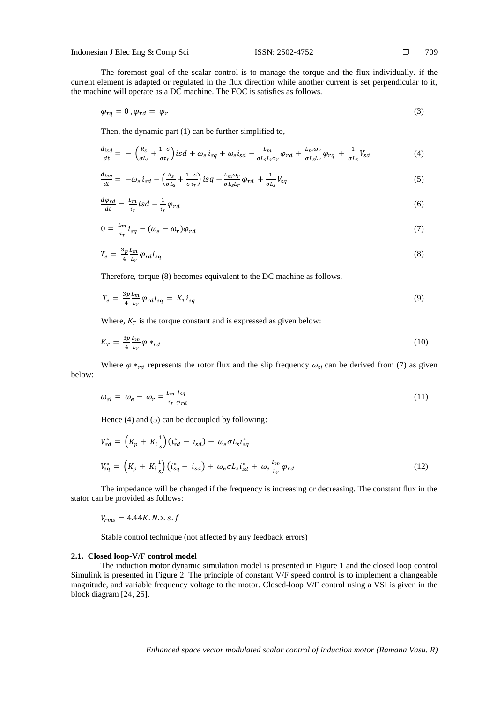The foremost goal of the scalar control is to manage the torque and the flux individually. if the current element is adapted or regulated in the flux direction while another current is set perpendicular to it, the machine will operate as a DC machine. The FOC is satisfies as follows.

$$
\varphi_{rq} = 0 \,, \varphi_{rd} = \varphi_r \tag{3}
$$

Then, the dynamic part (1) can be further simplified to,

$$
\frac{d_{isd}}{dt} = -\left(\frac{R_s}{\sigma L_s} + \frac{1-\sigma}{\sigma \tau_r}\right)isd + \omega_e i_{sq} + \omega_e i_{sd} + \frac{L_m}{\sigma L_s L_r \tau_r} \varphi_{rd} + \frac{L_m \omega_r}{\sigma L_s L_r} \varphi_{rq} + \frac{1}{\sigma L_s} V_{sd} \tag{4}
$$

$$
\frac{d_{isq}}{dt} = -\omega_e \, i_{sd} - \left(\frac{R_s}{\sigma L_s} + \frac{1-\sigma}{\sigma \tau_r}\right) \, \text{isq} \, - \frac{L_m \omega_r}{\sigma L_s L_r} \varphi_{rd} \, + \frac{1}{\sigma L_s} V_{sq} \tag{5}
$$

$$
\frac{d\varphi_{rd}}{dt} = \frac{L_m}{\tau_r} iS \, d - \frac{1}{\tau_r} \varphi_{rd} \tag{6}
$$

$$
0 = \frac{L_m}{\tau_r} i_{sq} - (\omega_e - \omega_r) \varphi_{rd} \tag{7}
$$

$$
T_e = \frac{3p}{4} \frac{L_m}{L_r} \varphi_{rd} i_{sq} \tag{8}
$$

Therefore, torque (8) becomes equivalent to the DC machine as follows,

$$
T_e = \frac{3p \ln n}{4} \varphi_{rd} i_{sq} = K_T i_{sq} \tag{9}
$$

Where,  $K_T$  is the torque constant and is expressed as given below:

$$
K_T = \frac{3p}{4} \frac{L_m}{L_r} \varphi *_{rd} \tag{10}
$$

Where  $\varphi *_{rd}$  represents the rotor flux and the slip frequency  $\omega_{sl}$  can be derived from (7) as given below:

$$
\omega_{sl} = \omega_e - \omega_r = \frac{L_m}{\tau_r} \frac{i_{sq}}{\varphi_{rd}}
$$
\n(11)

Hence (4) and (5) can be decoupled by following:

$$
V_{sd}^* = \left(K_p + K_i \frac{1}{s}\right) (i_{sd}^* - i_{sd}) - \omega_e \sigma L_s i_{sq}^*
$$
  

$$
V_{sq}^* = \left(K_p + K_i \frac{1}{s}\right) (i_{sq}^* - i_{sd}) + \omega_e \sigma L_s i_{sd}^* + \omega_e \frac{L_m}{L_r} \varphi_{rd}
$$
 (12)

The impedance will be changed if the frequency is increasing or decreasing. The constant flux in the stator can be provided as follows:

$$
V_{rms} = 4.44K. N \times s.f
$$

Stable control technique (not affected by any feedback errors)

#### **2.1. Closed loop-V/F control model**

The induction motor dynamic simulation model is presented in Figure 1 and the closed loop control Simulink is presented in Figure 2. The principle of constant V/F speed control is to implement a changeable magnitude, and variable frequency voltage to the motor. Closed-loop V/F control using a VSI is given in the block diagram [24, 25].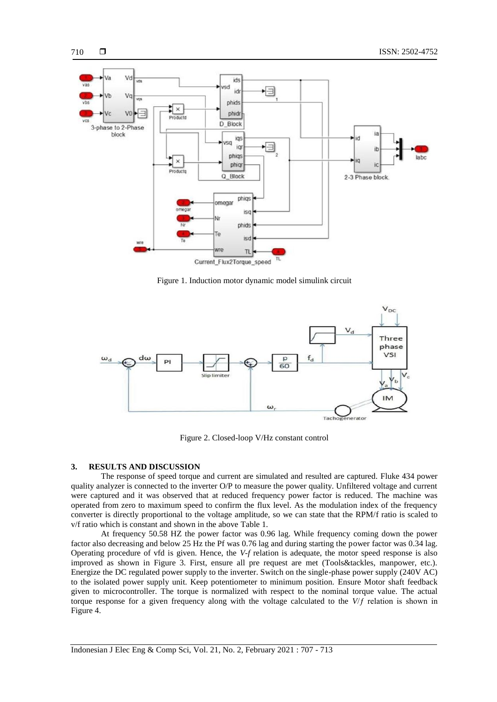

Figure 1. Induction motor dynamic model simulink circuit



Figure 2. Closed-loop V/Hz constant control

## **3. RESULTS AND DISCUSSION**

The response of speed torque and current are simulated and resulted are captured. Fluke 434 power quality analyzer is connected to the inverter O/P to measure the power quality. Unfiltered voltage and current were captured and it was observed that at reduced frequency power factor is reduced. The machine was operated from zero to maximum speed to confirm the flux level. As the modulation index of the frequency converter is directly proportional to the voltage amplitude, so we can state that the RPM/f ratio is scaled to v/f ratio which is constant and shown in the above Table 1.

At frequency 50.58 HZ the power factor was 0.96 lag. While frequency coming down the power factor also decreasing and below 25 Hz the Pf was 0.76 lag and during starting the power factor was 0.34 lag. Operating procedure of vfd is given. Hence, the *V-f* relation is adequate, the motor speed response is also improved as shown in Figure 3. First, ensure all pre request are met (Tools&tackles, manpower, etc.). Energize the DC regulated power supply to the inverter. Switch on the single-phase power supply (240V AC) to the isolated power supply unit. Keep potentiometer to minimum position. Ensure Motor shaft feedback given to microcontroller. The torque is normalized with respect to the nominal torque value. The actual torque response for a given frequency along with the voltage calculated to the *V*/ƒ relation is shown in Figure 4.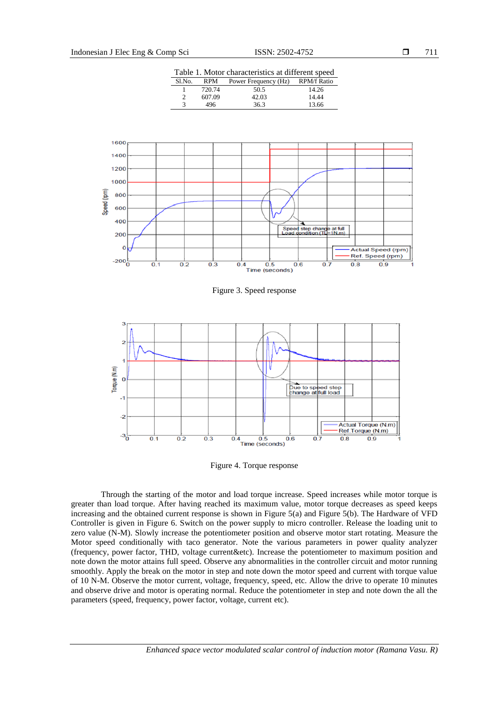Table 1. Motor characteristics at different speed

| $S1$ . No. | RPM    | Power Frequency (Hz) | <b>RPM/f Ratio</b> |
|------------|--------|----------------------|--------------------|
|            | 720.74 | 50.5                 | 14.26              |
|            | 607.09 | 42.03                | 14.44              |
|            | 496    | 36.3                 | 13.66              |



Figure 3. Speed response



Figure 4. Torque response

Through the starting of the motor and load torque increase. Speed increases while motor torque is greater than load torque. After having reached its maximum value, motor torque decreases as speed keeps increasing and the obtained current response is shown in Figure 5(a) and Figure 5(b). The Hardware of VFD Controller is given in Figure 6. Switch on the power supply to micro controller. Release the loading unit to zero value (N-M). Slowly increase the potentiometer position and observe motor start rotating. Measure the Motor speed conditionally with taco generator. Note the various parameters in power quality analyzer (frequency, power factor, THD, voltage current&etc). Increase the potentiometer to maximum position and note down the motor attains full speed. Observe any abnormalities in the controller circuit and motor running smoothly. Apply the break on the motor in step and note down the motor speed and current with torque value of 10 N-M. Observe the motor current, voltage, frequency, speed, etc. Allow the drive to operate 10 minutes and observe drive and motor is operating normal. Reduce the potentiometer in step and note down the all the parameters (speed, frequency, power factor, voltage, current etc).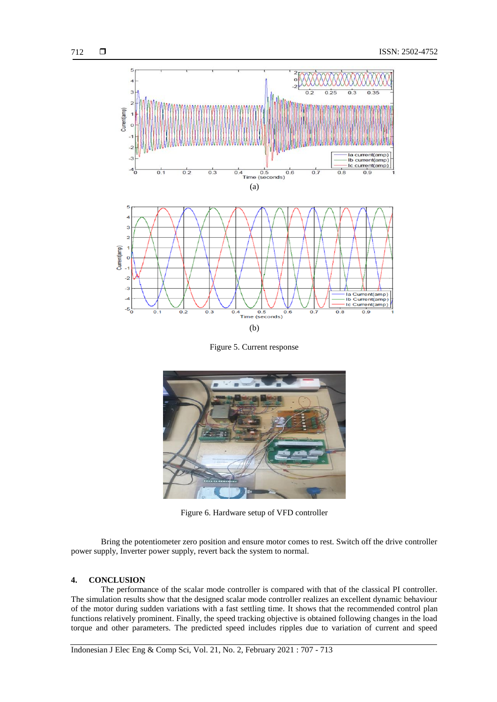

Figure 5. Current response



Figure 6. Hardware setup of VFD controller

Bring the potentiometer zero position and ensure motor comes to rest. Switch off the drive controller power supply, Inverter power supply, revert back the system to normal.

#### **4. CONCLUSION**

The performance of the scalar mode controller is compared with that of the classical PI controller. The simulation results show that the designed scalar mode controller realizes an excellent dynamic behaviour of the motor during sudden variations with a fast settling time. It shows that the recommended control plan functions relatively prominent. Finally, the speed tracking objective is obtained following changes in the load torque and other parameters. The predicted speed includes ripples due to variation of current and speed